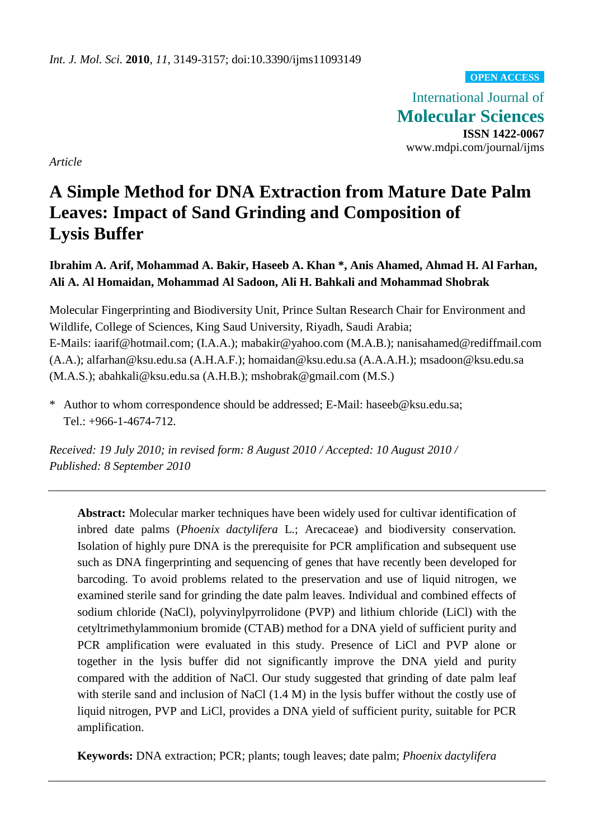**OPEN ACCESS**

International Journal of **Molecular Sciences ISSN 1422-0067** www.mdpi.com/journal/ijms

*Article*

# **A Simple Method for DNA Extraction from Mature Date Palm Leaves: Impact of Sand Grinding and Composition of Lysis Buffer**

# **Ibrahim A. Arif, Mohammad A. Bakir, Haseeb A. Khan \*, Anis Ahamed, Ahmad H. Al Farhan, Ali A. Al Homaidan, Mohammad Al Sadoon, Ali H. Bahkali and Mohammad Shobrak**

Molecular Fingerprinting and Biodiversity Unit, Prince Sultan Research Chair for Environment and Wildlife, College of Sciences, King Saud University, Riyadh, Saudi Arabia; E-Mails: iaarif@hotmail.com; (I.A.A.); mabakir@yahoo.com (M.A.B.); nanisahamed@rediffmail.com (A.A.); alfarhan@ksu.edu.sa (A.H.A.F.); homaidan@ksu.edu.sa (A.A.A.H.); msadoon@ksu.edu.sa (M.A.S.); abahkali@ksu.edu.sa (A.H.B.); mshobrak@gmail.com (M.S.)

\* Author to whom correspondence should be addressed; E-Mail: haseeb@ksu.edu.sa; Tel.: +966-1-4674-712.

*Received: 19 July 2010; in revised form: 8 August 2010 / Accepted: 10 August 2010 / Published: 8 September 2010*

**Abstract:** Molecular marker techniques have been widely used for cultivar identification of inbred date palms (*Phoenix dactylifera* L.; Arecaceae) and biodiversity conservation*.* Isolation of highly pure DNA is the prerequisite for PCR amplification and subsequent use such as DNA fingerprinting and sequencing of genes that have recently been developed for barcoding. To avoid problems related to the preservation and use of liquid nitrogen, we examined sterile sand for grinding the date palm leaves. Individual and combined effects of sodium chloride (NaCl), polyvinylpyrrolidone (PVP) and lithium chloride (LiCl) with the cetyltrimethylammonium bromide (CTAB) method for a DNA yield of sufficient purity and PCR amplification were evaluated in this study. Presence of LiCl and PVP alone or together in the lysis buffer did not significantly improve the DNA yield and purity compared with the addition of NaCl. Our study suggested that grinding of date palm leaf with sterile sand and inclusion of NaCl (1.4 M) in the lysis buffer without the costly use of liquid nitrogen, PVP and LiCl, provides a DNA yield of sufficient purity, suitable for PCR amplification.

**Keywords:** DNA extraction; PCR; plants; tough leaves; date palm; *Phoenix dactylifera*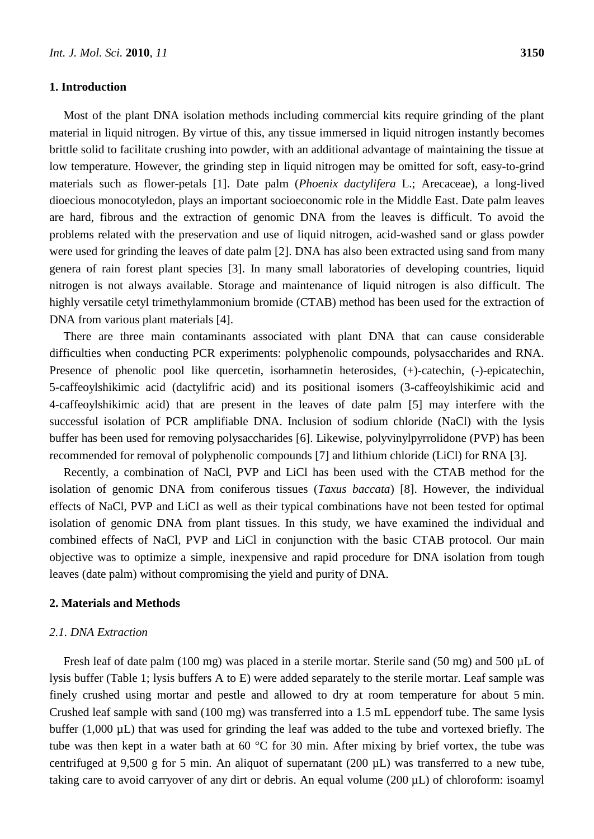#### **1. Introduction**

Most of the plant DNA isolation methods including commercial kits require grinding of the plant material in liquid nitrogen. By virtue of this, any tissue immersed in liquid nitrogen instantly becomes brittle solid to facilitate crushing into powder, with an additional advantage of maintaining the tissue at low temperature. However, the grinding step in liquid nitrogen may be omitted for soft, easy-to-grind materials such as flower-petals [1]. Date palm (*Phoenix dactylifera* L.; Arecaceae), a long-lived dioecious monocotyledon, plays an important socioeconomic role in the Middle East. Date palm leaves are hard, fibrous and the extraction of genomic DNA from the leaves is difficult. To avoid the problems related with the preservation and use of liquid nitrogen, acid-washed sand or glass powder were used for grinding the leaves of date palm [2]. DNA has also been extracted using sand from many genera of rain forest plant species [3]. In many small laboratories of developing countries, liquid nitrogen is not always available. Storage and maintenance of liquid nitrogen is also difficult. The highly versatile cetyl trimethylammonium bromide (CTAB) method has been used for the extraction of DNA from various plant materials [4].

There are three main contaminants associated with plant DNA that can cause considerable difficulties when conducting PCR experiments: polyphenolic compounds, polysaccharides and RNA. Presence of phenolic pool like quercetin, isorhamnetin heterosides,  $(+)$ -catechin,  $(-)$ -epicatechin, 5-caffeoylshikimic acid (dactylifric acid) and its positional isomers (3-caffeoylshikimic acid and 4-caffeoylshikimic acid) that are present in the leaves of date palm [5] may interfere with the successful isolation of PCR amplifiable DNA. Inclusion of sodium chloride (NaCl) with the lysis buffer has been used for removing polysaccharides [6]. Likewise, polyvinylpyrrolidone (PVP) has been recommended for removal of polyphenolic compounds [7] and lithium chloride (LiCl) for RNA [3].

Recently, a combination of NaCl, PVP and LiCl has been used with the CTAB method for the isolation of genomic DNA from coniferous tissues (*Taxus baccata*) [8]. However, the individual effects of NaCl, PVP and LiCl as well as their typical combinations have not been tested for optimal isolation of genomic DNA from plant tissues. In this study, we have examined the individual and combined effects of NaCl, PVP and LiCl in conjunction with the basic CTAB protocol. Our main objective was to optimize a simple, inexpensive and rapid procedure for DNA isolation from tough leaves (date palm) without compromising the yield and purity of DNA.

#### **2. Materials and Methods**

### *2.1. DNA Extraction*

Fresh leaf of date palm (100 mg) was placed in a sterile mortar. Sterile sand (50 mg) and 500 µL of lysis buffer (Table 1; lysis buffers A to E) were added separately to the sterile mortar. Leaf sample was finely crushed using mortar and pestle and allowed to dry at room temperature for about 5 min. Crushed leaf sample with sand (100 mg) was transferred into a 1.5 mL eppendorf tube. The same lysis buffer (1,000 µL) that was used for grinding the leaf was added to the tube and vortexed briefly. The tube was then kept in a water bath at 60  $\degree$  C for 30 min. After mixing by brief vortex, the tube was centrifuged at 9,500 g for 5 min. An aliquot of supernatant (200 µL) was transferred to a new tube, taking care to avoid carryover of any dirt or debris. An equal volume (200 µL) of chloroform: isoamyl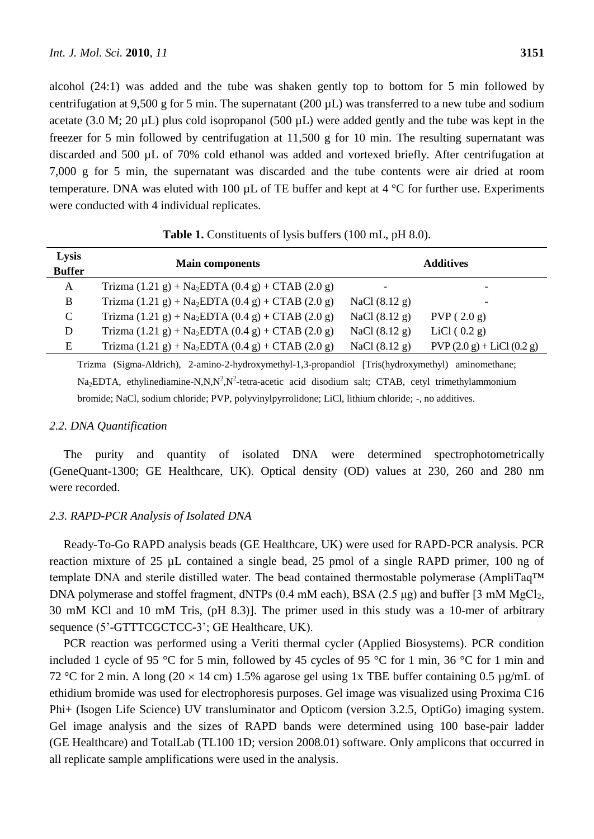alcohol (24:1) was added and the tube was shaken gently top to bottom for 5 min followed by centrifugation at 9,500 g for 5 min. The supernatant (200 µL) was transferred to a new tube and sodium acetate (3.0 M; 20  $\mu$ L) plus cold isopropanol (500  $\mu$ L) were added gently and the tube was kept in the freezer for 5 min followed by centrifugation at 11,500 g for 10 min. The resulting supernatant was discarded and 500 µL of 70% cold ethanol was added and vortexed briefly. After centrifugation at 7,000 g for 5 min, the supernatant was discarded and the tube contents were air dried at room temperature. DNA was eluted with 100  $\mu$ L of TE buffer and kept at 4 °C for further use. Experiments were conducted with 4 individual replicates.

| Lysis<br><b>Buffer</b> | <b>Main components</b>                                                                         | <b>Additives</b> |                            |
|------------------------|------------------------------------------------------------------------------------------------|------------------|----------------------------|
| A                      | Trizma $(1.21 \text{ g}) + Na_2EDTA (0.4 \text{ g}) + CTAB (2.0 \text{ g})$                    |                  |                            |
| B                      | Trizma $(1.21 \text{ g}) + Na_2EDTA (0.4 \text{ g}) + CTAB (2.0 \text{ g})$                    | NaCl $(8.12 g)$  |                            |
| $\mathcal{C}$          | Trizma $(1.21 \text{ g}) + Na_2EDTA (0.4 \text{ g}) + CTAB (2.0 \text{ g})$                    | NaCl $(8.12 g)$  | PVP(2.0 g)                 |
| D                      | Trizma $(1.21 \text{ g}) + \text{Na}_2$ EDTA $(0.4 \text{ g}) + \text{CTAB}$ $(2.0 \text{ g})$ | NaCl $(8.12 g)$  | LiCl $(0.2 g)$             |
| E                      | Trizma $(1.21 \text{ g}) + \text{Na}_2$ EDTA $(0.4 \text{ g}) + \text{CTAB}$ $(2.0 \text{ g})$ | NaCl $(8.12 g)$  | $PVP(2.0 g) + LiCl(0.2 g)$ |

**Table 1.** Constituents of lysis buffers (100 mL, pH 8.0).

Trizma (Sigma-Aldrich), 2-amino-2-hydroxymethyl-1,3-propandiol [Tris(hydroxymethyl) aminomethane;  $Na<sub>2</sub>EDTA$ , ethylinediamine-N,N,N<sup>2</sup>,N<sup>2</sup>-tetra-acetic acid disodium salt; CTAB, cetyl trimethylammonium bromide; NaCl, sodium chloride; PVP, polyvinylpyrrolidone; LiCl, lithium chloride; -, no additives.

#### *2.2. DNA Quantification*

The purity and quantity of isolated DNA were determined spectrophotometrically (GeneQuant-1300; GE Healthcare, UK). Optical density (OD) values at 230, 260 and 280 nm were recorded.

#### *2.3. RAPD-PCR Analysis of Isolated DNA*

Ready-To-Go RAPD analysis beads (GE Healthcare, UK) were used for RAPD-PCR analysis. PCR reaction mixture of 25 µL contained a single bead, 25 pmol of a single RAPD primer, 100 ng of template DNA and sterile distilled water. The bead contained thermostable polymerase (AmpliTaq™ DNA polymerase and stoffel fragment, dNTPs  $(0.4 \text{ mM each})$ , BSA  $(2.5 \mu g)$  and buffer  $[3 \text{ mM MgCl}_2]$ , 30 mM KCl and 10 mM Tris, (pH 8.3)]. The primer used in this study was a 10-mer of arbitrary sequence (5'-GTTTCGCTCC-3'; GE Healthcare, UK).

PCR reaction was performed using a Veriti thermal cycler (Applied Biosystems). PCR condition included 1 cycle of 95 °C for 5 min, followed by 45 cycles of 95 °C for 1 min, 36 °C for 1 min and 72 °C for 2 min. A long (20  $\times$  14 cm) 1.5% agarose gel using 1x TBE buffer containing 0.5 µg/mL of ethidium bromide was used for electrophoresis purposes. Gel image was visualized using Proxima C16 Phi+ (Isogen Life Science) UV transluminator and Opticom (version 3.2.5, OptiGo) imaging system. Gel image analysis and the sizes of RAPD bands were determined using 100 base-pair ladder (GE Healthcare) and TotalLab (TL100 1D; version 2008.01) software. Only amplicons that occurred in all replicate sample amplifications were used in the analysis.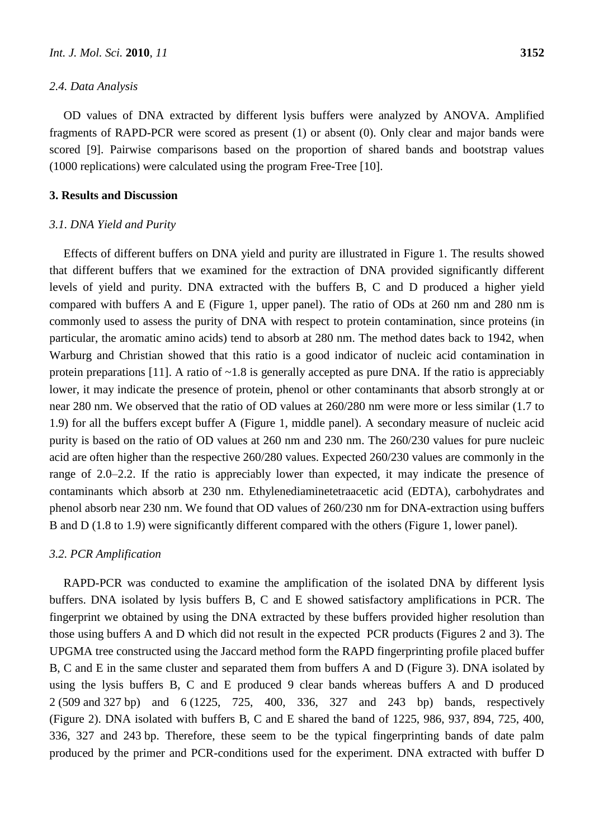#### *2.4. Data Analysis*

OD values of DNA extracted by different lysis buffers were analyzed by ANOVA. Amplified fragments of RAPD-PCR were scored as present (1) or absent (0). Only clear and major bands were scored [9]. Pairwise comparisons based on the proportion of shared bands and bootstrap values (1000 replications) were calculated using the program Free-Tree [10].

#### **3. Results and Discussion**

#### *3.1. DNA Yield and Purity*

Effects of different buffers on DNA yield and purity are illustrated in Figure 1. The results showed that different buffers that we examined for the extraction of DNA provided significantly different levels of yield and purity. DNA extracted with the buffers B, C and D produced a higher yield compared with buffers A and E (Figure 1, upper panel). The ratio of ODs at 260 nm and 280 nm is commonly used to assess the purity of DNA with respect to protein contamination, since proteins (in particular, the aromatic amino acids) tend to absorb at 280 nm. The method dates back to 1942, when Warburg and Christian showed that this ratio is a good indicator of nucleic acid contamination in protein preparations [11]. A ratio of  $\sim$ 1.8 is generally accepted as pure DNA. If the ratio is appreciably lower, it may indicate the presence of protein, phenol or other contaminants that absorb strongly at or near 280 nm. We observed that the ratio of OD values at 260/280 nm were more or less similar (1.7 to 1.9) for all the buffers except buffer A (Figure 1, middle panel). A secondary measure of nucleic acid purity is based on the ratio of OD values at 260 nm and 230 nm. The 260/230 values for pure nucleic acid are often higher than the respective 260/280 values. Expected 260/230 values are commonly in the range of 2.0–2.2. If the ratio is appreciably lower than expected, it may indicate the presence of contaminants which absorb at 230 nm. Ethylenediaminetetraacetic acid (EDTA), carbohydrates and phenol absorb near 230 nm. We found that OD values of 260/230 nm for DNA-extraction using buffers B and D (1.8 to 1.9) were significantly different compared with the others (Figure 1, lower panel).

#### *3.2. PCR Amplification*

RAPD-PCR was conducted to examine the amplification of the isolated DNA by different lysis buffers. DNA isolated by lysis buffers B, C and E showed satisfactory amplifications in PCR. The fingerprint we obtained by using the DNA extracted by these buffers provided higher resolution than those using buffers A and D which did not result in the expected PCR products (Figures 2 and 3). The UPGMA tree constructed using the Jaccard method form the RAPD fingerprinting profile placed buffer B, C and E in the same cluster and separated them from buffers A and D (Figure 3). DNA isolated by using the lysis buffers B, C and E produced 9 clear bands whereas buffers A and D produced 2 (509 and 327 bp) and 6 (1225, 725, 400, 336, 327 and 243 bp) bands, respectively (Figure 2). DNA isolated with buffers B, C and E shared the band of 1225, 986, 937, 894, 725, 400, 336, 327 and 243 bp. Therefore, these seem to be the typical fingerprinting bands of date palm produced by the primer and PCR-conditions used for the experiment. DNA extracted with buffer D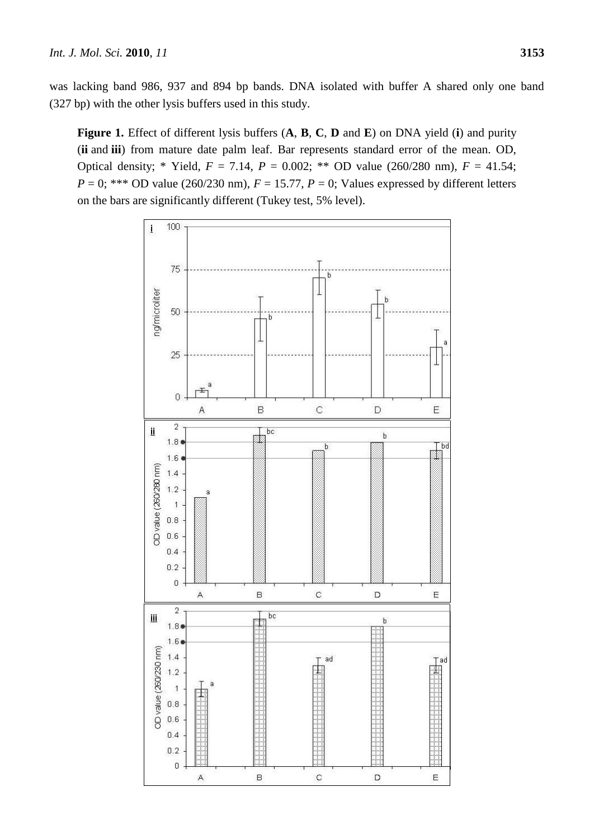was lacking band 986, 937 and 894 bp bands. DNA isolated with buffer A shared only one band (327 bp) with the other lysis buffers used in this study.

**Figure 1.** Effect of different lysis buffers (**A**, **B**, **C**, **D** and **E**) on DNA yield (**i**) and purity (**ii** and **iii**) from mature date palm leaf. Bar represents standard error of the mean. OD, Optical density; \* Yield,  $F = 7.14$ ,  $P = 0.002$ ; \*\* OD value (260/280 nm),  $F = 41.54$ ;  $P = 0$ ; \*\*\* OD value (260/230 nm),  $F = 15.77$ ,  $P = 0$ ; Values expressed by different letters on the bars are significantly different (Tukey test, 5% level).

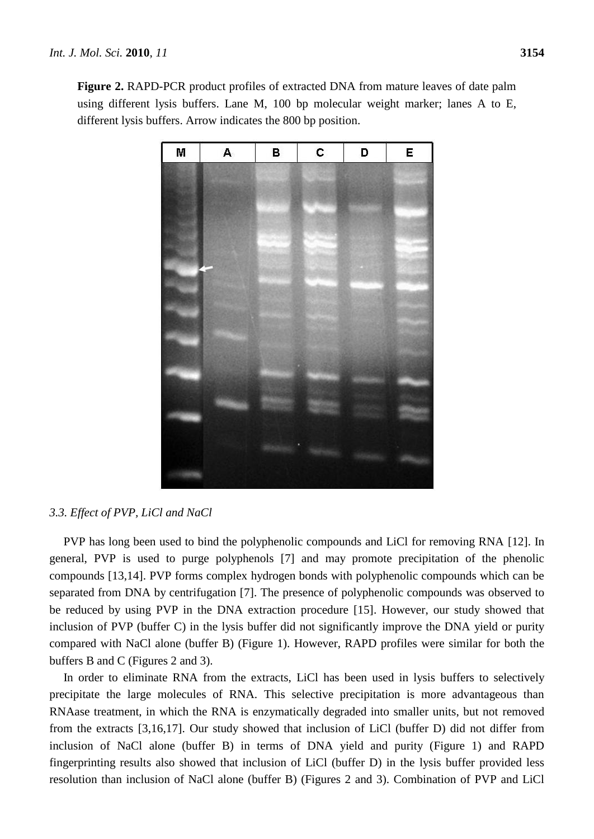**Figure 2.** RAPD-PCR product profiles of extracted DNA from mature leaves of date palm using different lysis buffers. Lane M, 100 bp molecular weight marker; lanes A to E, different lysis buffers. Arrow indicates the 800 bp position.



#### *3.3. Effect of PVP, LiCl and NaCl*

PVP has long been used to bind the polyphenolic compounds and LiCl for removing RNA [12]. In general, PVP is used to purge polyphenols [7] and may promote precipitation of the phenolic compounds [13,14]. PVP forms complex hydrogen bonds with polyphenolic compounds which can be separated from DNA by centrifugation [7]. The presence of polyphenolic compounds was observed to be reduced by using PVP in the DNA extraction procedure [15]. However, our study showed that inclusion of PVP (buffer C) in the lysis buffer did not significantly improve the DNA yield or purity compared with NaCl alone (buffer B) (Figure 1). However, RAPD profiles were similar for both the buffers B and C (Figures 2 and 3).

In order to eliminate RNA from the extracts, LiCl has been used in lysis buffers to selectively precipitate the large molecules of RNA. This selective precipitation is more advantageous than RNAase treatment, in which the RNA is enzymatically degraded into smaller units, but not removed from the extracts [3,16,17]. Our study showed that inclusion of LiCl (buffer D) did not differ from inclusion of NaCl alone (buffer B) in terms of DNA yield and purity (Figure 1) and RAPD fingerprinting results also showed that inclusion of LiCl (buffer D) in the lysis buffer provided less resolution than inclusion of NaCl alone (buffer B) (Figures 2 and 3). Combination of PVP and LiCl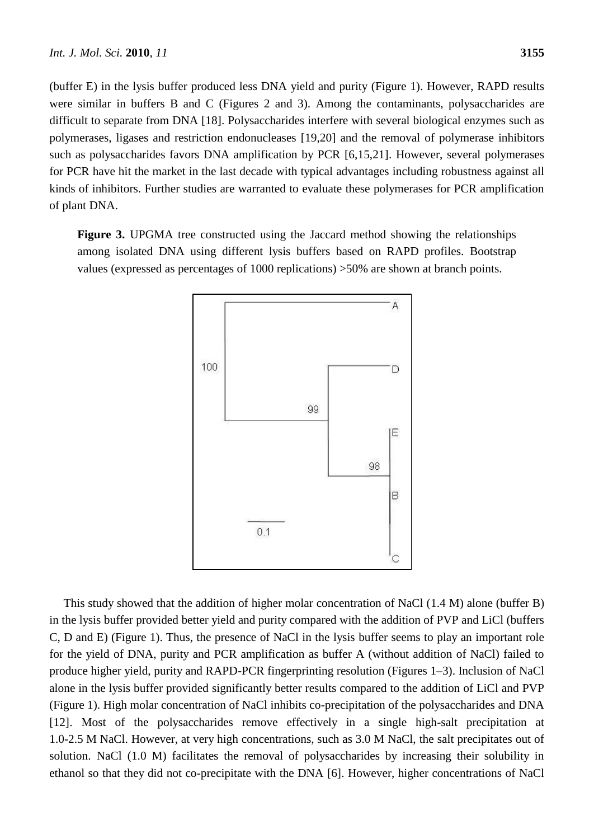(buffer E) in the lysis buffer produced less DNA yield and purity (Figure 1). However, RAPD results were similar in buffers B and C (Figures 2 and 3). Among the contaminants, polysaccharides are difficult to separate from DNA [18]. Polysaccharides interfere with several biological enzymes such as polymerases, ligases and restriction endonucleases [19,20] and the removal of polymerase inhibitors such as polysaccharides favors DNA amplification by PCR [6,15,21]. However, several polymerases for PCR have hit the market in the last decade with typical advantages including robustness against all kinds of inhibitors. Further studies are warranted to evaluate these polymerases for PCR amplification of plant DNA.

**Figure 3.** UPGMA tree constructed using the Jaccard method showing the relationships among isolated DNA using different lysis buffers based on RAPD profiles. Bootstrap values (expressed as percentages of 1000 replications) >50% are shown at branch points.



This study showed that the addition of higher molar concentration of NaCl (1.4 M) alone (buffer B) in the lysis buffer provided better yield and purity compared with the addition of PVP and LiCl (buffers C, D and E) (Figure 1). Thus, the presence of NaCl in the lysis buffer seems to play an important role for the yield of DNA, purity and PCR amplification as buffer A (without addition of NaCl) failed to produce higher yield, purity and RAPD-PCR fingerprinting resolution (Figures 1–3). Inclusion of NaCl alone in the lysis buffer provided significantly better results compared to the addition of LiCl and PVP (Figure 1). High molar concentration of NaCl inhibits co-precipitation of the polysaccharides and DNA [12]. Most of the polysaccharides remove effectively in a single high-salt precipitation at 1.0-2.5 M NaCl. However, at very high concentrations, such as 3.0 M NaCl, the salt precipitates out of solution. NaCl (1.0 M) facilitates the removal of polysaccharides by increasing their solubility in ethanol so that they did not co-precipitate with the DNA [6]. However, higher concentrations of NaCl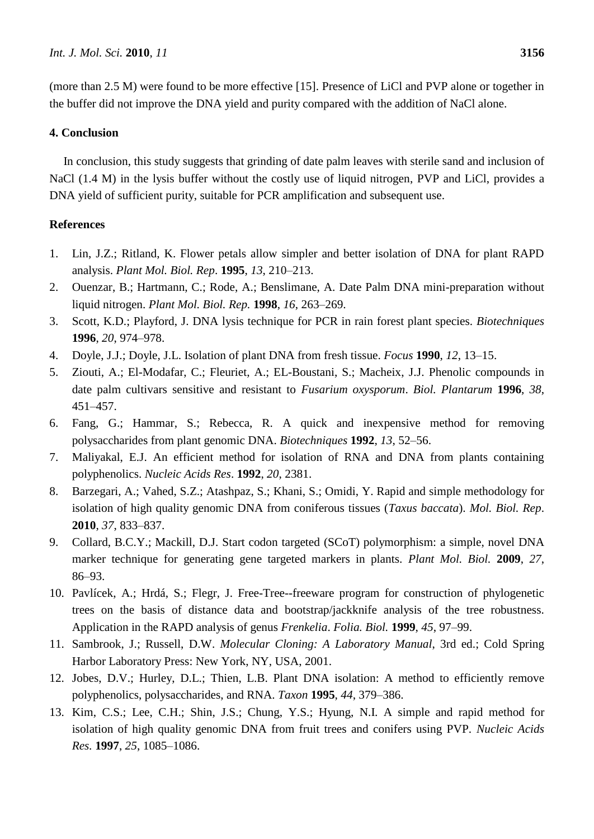(more than 2.5 M) were found to be more effective [15]. Presence of LiCl and PVP alone or together in the buffer did not improve the DNA yield and purity compared with the addition of NaCl alone.

# **4. Conclusion**

In conclusion, this study suggests that grinding of date palm leaves with sterile sand and inclusion of NaCl (1.4 M) in the lysis buffer without the costly use of liquid nitrogen, PVP and LiCl, provides a DNA yield of sufficient purity, suitable for PCR amplification and subsequent use.

# **References**

- 1. Lin, J.Z.; Ritland, K. Flower petals allow simpler and better isolation of DNA for plant RAPD analysis. *Plant Mol. Biol. Rep*. **1995**, *13*, 210–213.
- 2. Ouenzar, B.; Hartmann, C.; Rode, A.; Benslimane, A. Date Palm DNA mini-preparation without liquid nitrogen. *Plant Mol. Biol. Rep.* **1998**, *16*, 263–269.
- 3. Scott, K.D.; Playford, J. DNA lysis technique for PCR in rain forest plant species. *Biotechniques* **1996**, *20*, 974–978.
- 4. Doyle, J.J.; Doyle, J.L. Isolation of plant DNA from fresh tissue. *Focus* **1990**, *12*, 13–15.
- 5. Ziouti, A.; El-Modafar, C.; Fleuriet, A.; EL-Boustani, S.; Macheix, J.J. Phenolic compounds in date palm cultivars sensitive and resistant to *Fusarium oxysporum*. *Biol. Plantarum* **1996**, *38*, 451–457.
- 6. Fang, G.; Hammar, S.; Rebecca, R. A quick and inexpensive method for removing polysaccharides from plant genomic DNA. *Biotechniques* **1992**, *13*, 52–56.
- 7. Maliyakal, E.J. An efficient method for isolation of RNA and DNA from plants containing polyphenolics. *Nucleic Acids Res*. **1992**, *20*, 2381.
- 8. Barzegari, A.; Vahed, S.Z.; Atashpaz, S.; Khani, S.; Omidi, Y. Rapid and simple methodology for isolation of high quality genomic DNA from coniferous tissues (*Taxus baccata*). *Mol. Biol. Rep*. **2010**, *37*, 833–837.
- 9. Collard, B.C.Y.; Mackill, D.J. Start codon targeted (SCoT) polymorphism: a simple, novel DNA marker technique for generating gene targeted markers in plants. *Plant Mol. Biol.* **2009**, *27*, 86–93.
- 10. Pavlícek, A.; Hrdá, S.; Flegr, J. Free-Tree--freeware program for construction of phylogenetic trees on the basis of distance data and bootstrap/jackknife analysis of the tree robustness. Application in the RAPD analysis of genus *Frenkelia*. *Folia. Biol.* **1999**, *45*, 97–99.
- 11. Sambrook, J.; Russell, D.W. *Molecular Cloning: A Laboratory Manual*, 3rd ed.; Cold Spring Harbor Laboratory Press: New York, NY, USA, 2001.
- 12. Jobes, D.V.; Hurley, D.L.; Thien, L.B. Plant DNA isolation: A method to efficiently remove polyphenolics, polysaccharides, and RNA. *Taxon* **1995**, *44*, 379–386.
- 13. Kim, C.S.; Lee, C.H.; Shin, J.S.; Chung, Y.S.; Hyung, N.I. A simple and rapid method for isolation of high quality genomic DNA from fruit trees and conifers using PVP. *Nucleic Acids Res.* **1997**, *25*, 1085–1086.